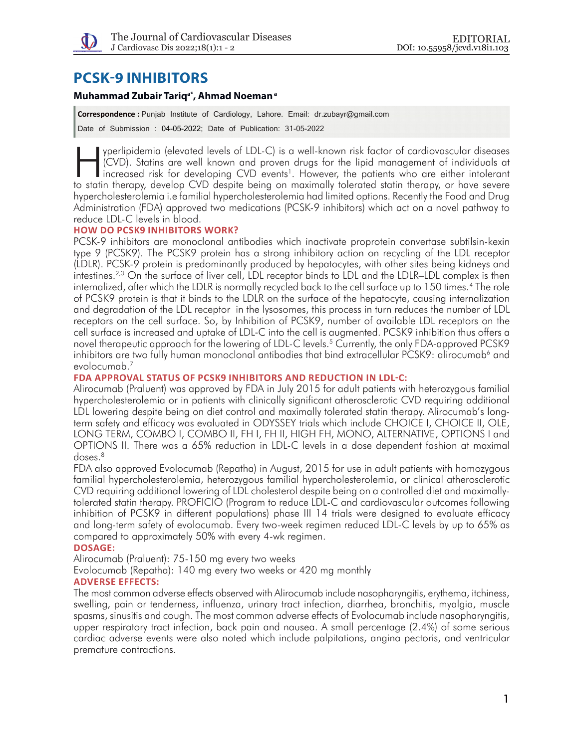

# **PCSK-9 INHIBITORS**

# **Muhammad Zubair Tariqa\*, Ahmad Noemana**

**Correspondence :** Punjab Institute of Cardiology, Lahore. Email: dr.zubayr@gmail.com Date of Submission : 04-05-2022; Date of Publication: 31-05-2022

yperlipidemia (elevated levels of LDL-C) is a well-known risk factor of cardiovascular diseases<br>(CVD). Statins are well known and proven drugs for the lipid management of individuals at<br>increased risk for developing CVD ev (CVD). Statins are well known and proven drugs for the lipid management of individuals at increased risk for developing CVD events<sup>1</sup>. However, the patients who are either intolerant to statin therapy, develop CVD despite being on maximally tolerated statin therapy, or have severe hypercholesterolemia i.e familial hypercholesterolemia had limited options. Recently the Food and Drug Administration (FDA) approved two medications (PCSK-9 inhibitors) which act on a novel pathway to reduce LDL-C levels in blood.

### **HOW DO PCSK9 INHIBITORS WORK?**

PCSK-9 inhibitors are monoclonal antibodies which inactivate proprotein convertase subtilsin-kexin type 9 (PCSK9). The PCSK9 protein has a strong inhibitory action on recycling of the LDL receptor (LDLR). PCSK-9 protein is predominantly produced by hepatocytes, with other sites being kidneys and intestines.<sup>2,3</sup> On the surface of liver cell, LDL receptor binds to LDL and the LDLR–LDL complex is then internalized, after which the LDLR is normally recycled back to the cell surface up to 150 times.4 The role of PCSK9 protein is that it binds to the LDLR on the surface of the hepatocyte, causing internalization and degradation of the LDL receptor in the lysosomes, this process in turn reduces the number of LDL receptors on the cell surface. So, by Inhibition of PCSK9, number of available LDL receptors on the cell surface is increased and uptake of LDL‐C into the cell is augmented. PCSK9 inhibition thus offers a novel therapeutic approach for the lowering of LDL-C levels.<sup>5</sup> Currently, the only FDA-approved PCSK9 inhibitors are two fully human monoclonal antibodies that bind extracellular PCSK9: alirocumab<sup>6</sup> and evolocumab.7

## **FDA APPROVAL STATUS OF PCSK9 INHIBITORS AND REDUCTION IN LDL-C:**

Alirocumab (Praluent) was approved by FDA in July 2015 for adult patients with heterozygous familial hypercholesterolemia or in patients with clinically significant atherosclerotic CVD requiring additional LDL lowering despite being on diet control and maximally tolerated statin therapy. Alirocumab's longterm safety and efficacy was evaluated in ODYSSEY trials which include CHOICE I, CHOICE II, OLE, LONG TERM, COMBO I, COMBO II, FH I, FH II, HIGH FH, MONO, ALTERNATIVE, OPTIONS I and OPTIONS II. There was a 65% reduction in LDL-C levels in a dose dependent fashion at maximal doses.8

FDA also approved Evolocumab (Repatha) in August, 2015 for use in adult patients with homozygous familial hypercholesterolemia, heterozygous familial hypercholesterolemia, or clinical atherosclerotic CVD requiring additional lowering of LDL cholesterol despite being on a controlled diet and maximallytolerated statin therapy. PROFICIO (Program to reduce LDL-C and cardiovascular outcomes following inhibition of PCSK9 in different populations) phase III 14 trials were designed to evaluate efficacy and long-term safety of evolocumab. Every two-week regimen reduced LDL-C levels by up to 65% as compared to approximately 50% with every 4-wk regimen.

#### **DOSAGE:**

Alirocumab (Praluent): 75-150 mg every two weeks

Evolocumab (Repatha): 140 mg every two weeks or 420 mg monthly

#### **ADVERSE EFFECTS:**

The most common adverse effects observed with Alirocumab include nasopharyngitis, erythema, itchiness, swelling, pain or tenderness, influenza, urinary tract infection, diarrhea, bronchitis, myalgia, muscle spasms, sinusitis and cough. The most common adverse effects of Evolocumab include nasopharyngitis, upper respiratory tract infection, back pain and nausea. A small percentage (2.4%) of some serious cardiac adverse events were also noted which include palpitations, angina pectoris, and ventricular premature contractions.